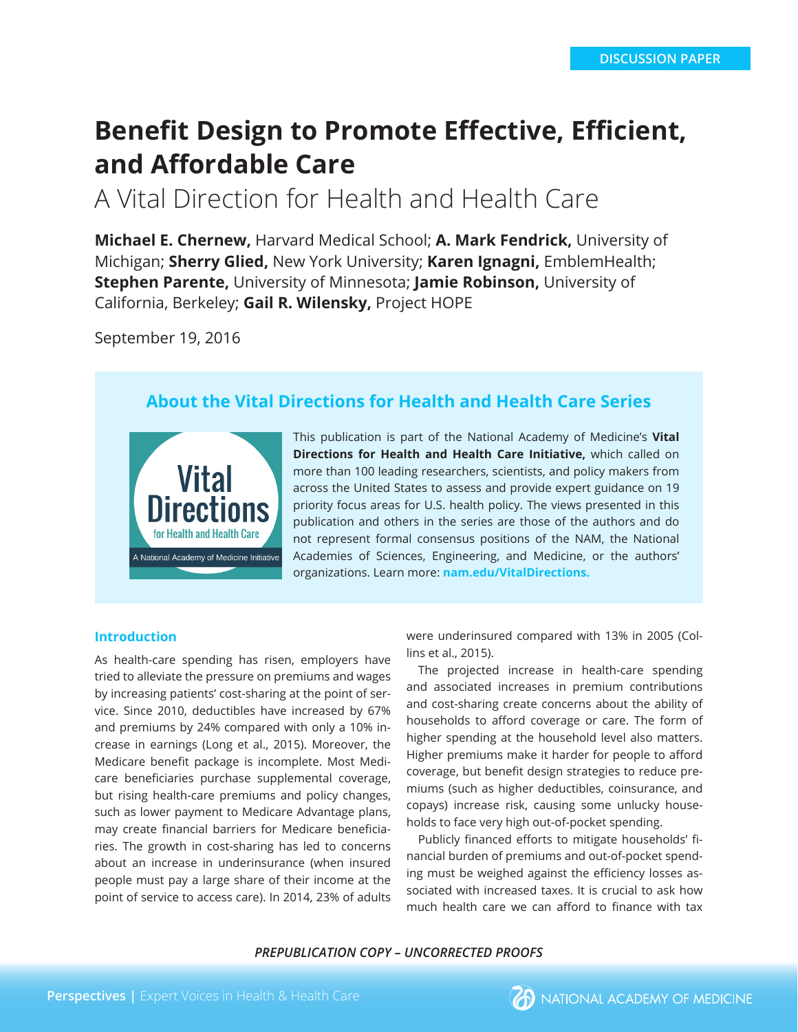# **Benefit Design to Promote Effective, Efficient, and Affordable Care**

A Vital Direction for Health and Health Care

**Michael E. Chernew,** Harvard Medical School; **A. Mark Fendrick,** University of Michigan; **Sherry Glied,** New York University; **Karen Ignagni,** EmblemHealth; **Stephen Parente,** University of Minnesota; **Jamie Robinson,** University of California, Berkeley; **Gail R. Wilensky,** Project HOPE

September 19, 2016

# **About the Vital Directions for Health and Health Care Series**



This publication is part of the National Academy of Medicine's **Vital Directions for Health and Health Care Initiative,** which called on more than 100 leading researchers, scientists, and policy makers from across the United States to assess and provide expert guidance on 19 priority focus areas for U.S. health policy. The views presented in this publication and others in the series are those of the authors and do not represent formal consensus positions of the NAM, the National Academies of Sciences, Engineering, and Medicine, or the authors' organizations. Learn more: **nam.edu/VitalDirections.**

#### **Introduction**

As health-care spending has risen, employers have tried to alleviate the pressure on premiums and wages by increasing patients' cost-sharing at the point of service. Since 2010, deductibles have increased by 67% and premiums by 24% compared with only a 10% increase in earnings (Long et al., 2015). Moreover, the Medicare benefit package is incomplete. Most Medicare beneficiaries purchase supplemental coverage, but rising health-care premiums and policy changes, such as lower payment to Medicare Advantage plans, may create financial barriers for Medicare beneficiaries. The growth in cost-sharing has led to concerns about an increase in underinsurance (when insured people must pay a large share of their income at the point of service to access care). In 2014, 23% of adults were underinsured compared with 13% in 2005 (Collins et al., 2015).

The projected increase in health-care spending and associated increases in premium contributions and cost-sharing create concerns about the ability of households to afford coverage or care. The form of higher spending at the household level also matters. Higher premiums make it harder for people to afford coverage, but benefit design strategies to reduce premiums (such as higher deductibles, coinsurance, and copays) increase risk, causing some unlucky households to face very high out-of-pocket spending.

Publicly financed efforts to mitigate households' financial burden of premiums and out-of-pocket spending must be weighed against the efficiency losses associated with increased taxes. It is crucial to ask how much health care we can afford to finance with tax

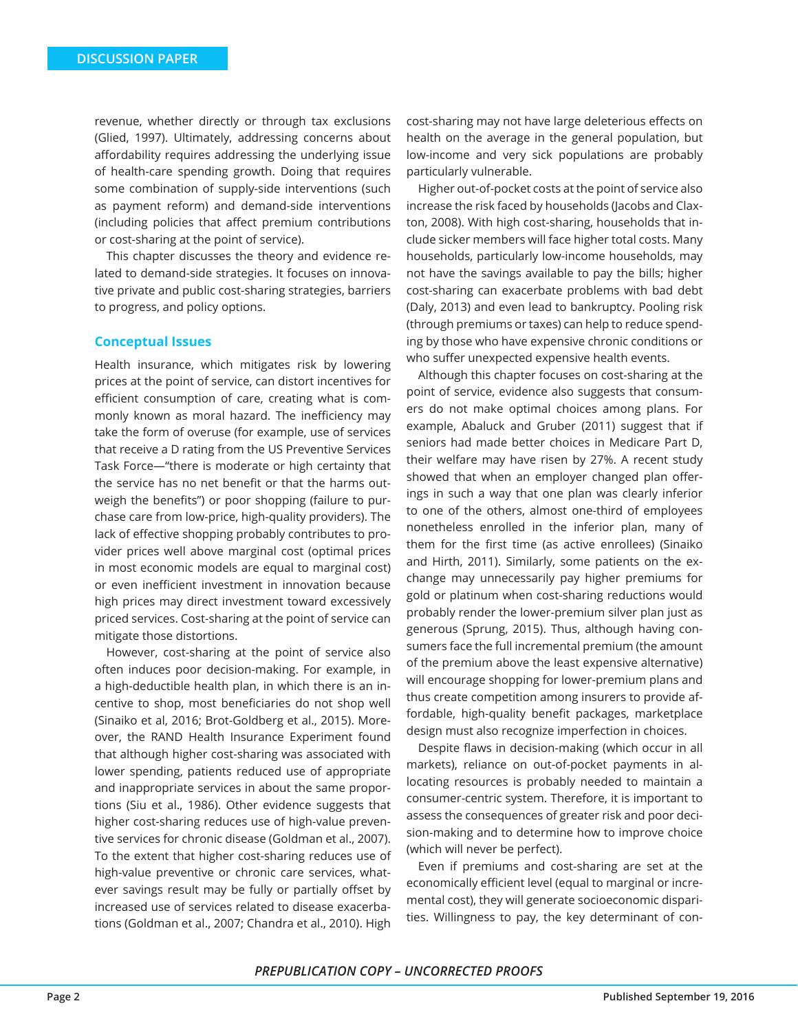revenue, whether directly or through tax exclusions (Glied, 1997). Ultimately, addressing concerns about affordability requires addressing the underlying issue of health-care spending growth. Doing that requires some combination of supply-side interventions (such as payment reform) and demand-side interventions (including policies that affect premium contributions or cost-sharing at the point of service).

This chapter discusses the theory and evidence related to demand-side strategies. It focuses on innovative private and public cost-sharing strategies, barriers to progress, and policy options.

#### **Conceptual Issues**

Health insurance, which mitigates risk by lowering prices at the point of service, can distort incentives for efficient consumption of care, creating what is commonly known as moral hazard. The inefficiency may take the form of overuse (for example, use of services that receive a D rating from the US Preventive Services Task Force—"there is moderate or high certainty that the service has no net benefit or that the harms outweigh the benefits") or poor shopping (failure to purchase care from low-price, high-quality providers). The lack of effective shopping probably contributes to provider prices well above marginal cost (optimal prices in most economic models are equal to marginal cost) or even inefficient investment in innovation because high prices may direct investment toward excessively priced services. Cost-sharing at the point of service can mitigate those distortions.

However, cost-sharing at the point of service also often induces poor decision-making. For example, in a high-deductible health plan, in which there is an incentive to shop, most beneficiaries do not shop well (Sinaiko et al, 2016; Brot-Goldberg et al., 2015). Moreover, the RAND Health Insurance Experiment found that although higher cost-sharing was associated with lower spending, patients reduced use of appropriate and inappropriate services in about the same proportions (Siu et al., 1986). Other evidence suggests that higher cost-sharing reduces use of high-value preventive services for chronic disease (Goldman et al., 2007). To the extent that higher cost-sharing reduces use of high-value preventive or chronic care services, whatever savings result may be fully or partially offset by increased use of services related to disease exacerbations (Goldman et al., 2007; Chandra et al., 2010). High

cost-sharing may not have large deleterious effects on health on the average in the general population, but low-income and very sick populations are probably particularly vulnerable.

Higher out-of-pocket costs at the point of service also increase the risk faced by households (Jacobs and Claxton, 2008). With high cost-sharing, households that include sicker members will face higher total costs. Many households, particularly low-income households, may not have the savings available to pay the bills; higher cost-sharing can exacerbate problems with bad debt (Daly, 2013) and even lead to bankruptcy. Pooling risk (through premiums or taxes) can help to reduce spending by those who have expensive chronic conditions or who suffer unexpected expensive health events.

Although this chapter focuses on cost-sharing at the point of service, evidence also suggests that consumers do not make optimal choices among plans. For example, Abaluck and Gruber (2011) suggest that if seniors had made better choices in Medicare Part D, their welfare may have risen by 27%. A recent study showed that when an employer changed plan offerings in such a way that one plan was clearly inferior to one of the others, almost one-third of employees nonetheless enrolled in the inferior plan, many of them for the first time (as active enrollees) (Sinaiko and Hirth, 2011). Similarly, some patients on the exchange may unnecessarily pay higher premiums for gold or platinum when cost-sharing reductions would probably render the lower-premium silver plan just as generous (Sprung, 2015). Thus, although having consumers face the full incremental premium (the amount of the premium above the least expensive alternative) will encourage shopping for lower-premium plans and thus create competition among insurers to provide affordable, high-quality benefit packages, marketplace design must also recognize imperfection in choices.

Despite flaws in decision-making (which occur in all markets), reliance on out-of-pocket payments in allocating resources is probably needed to maintain a consumer-centric system. Therefore, it is important to assess the consequences of greater risk and poor decision-making and to determine how to improve choice (which will never be perfect).

Even if premiums and cost-sharing are set at the economically efficient level (equal to marginal or incremental cost), they will generate socioeconomic disparities. Willingness to pay, the key determinant of con-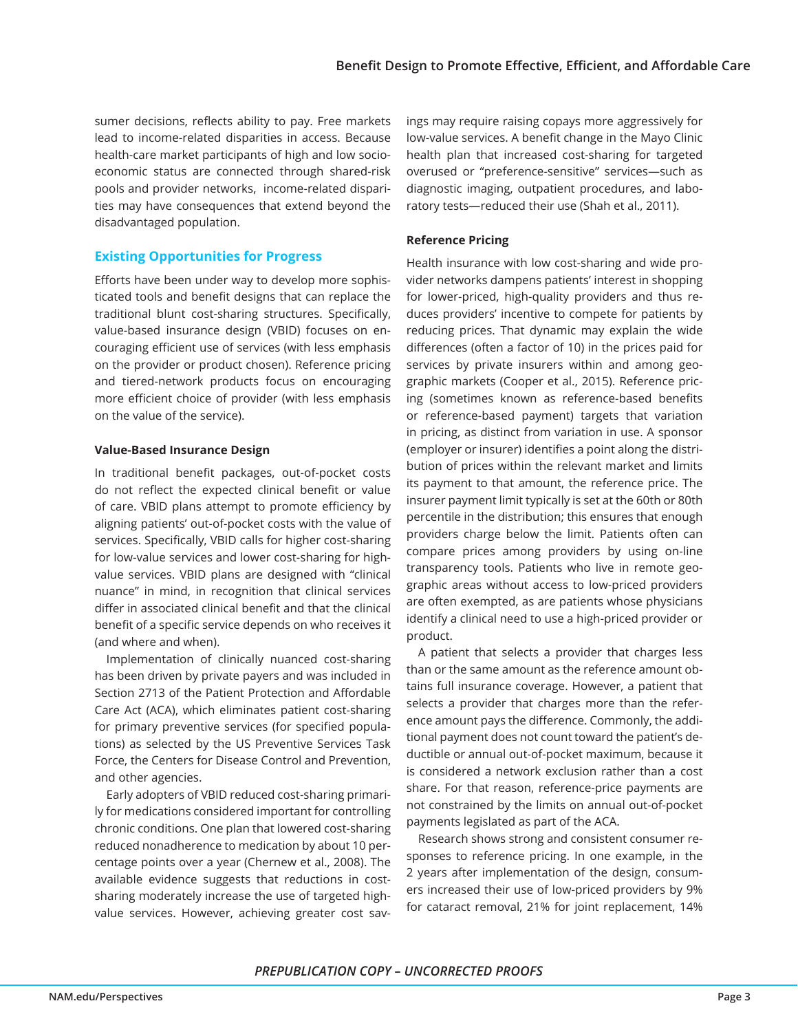sumer decisions, reflects ability to pay. Free markets lead to income-related disparities in access. Because health-care market participants of high and low socioeconomic status are connected through shared-risk pools and provider networks, income-related disparities may have consequences that extend beyond the disadvantaged population.

## **Existing Opportunities for Progress**

Efforts have been under way to develop more sophisticated tools and benefit designs that can replace the traditional blunt cost-sharing structures. Specifically, value-based insurance design (VBID) focuses on encouraging efficient use of services (with less emphasis on the provider or product chosen). Reference pricing and tiered-network products focus on encouraging more efficient choice of provider (with less emphasis on the value of the service).

#### **Value-Based Insurance Design**

In traditional benefit packages, out-of-pocket costs do not reflect the expected clinical benefit or value of care. VBID plans attempt to promote efficiency by aligning patients' out-of-pocket costs with the value of services. Specifically, VBID calls for higher cost-sharing for low-value services and lower cost-sharing for highvalue services. VBID plans are designed with "clinical nuance" in mind, in recognition that clinical services differ in associated clinical benefit and that the clinical benefit of a specific service depends on who receives it (and where and when).

Implementation of clinically nuanced cost-sharing has been driven by private payers and was included in Section 2713 of the Patient Protection and Affordable Care Act (ACA), which eliminates patient cost-sharing for primary preventive services (for specified populations) as selected by the US Preventive Services Task Force, the Centers for Disease Control and Prevention, and other agencies.

Early adopters of VBID reduced cost-sharing primarily for medications considered important for controlling chronic conditions. One plan that lowered cost-sharing reduced nonadherence to medication by about 10 percentage points over a year (Chernew et al., 2008). The available evidence suggests that reductions in costsharing moderately increase the use of targeted highvalue services. However, achieving greater cost savings may require raising copays more aggressively for low-value services. A benefit change in the Mayo Clinic health plan that increased cost-sharing for targeted overused or "preference-sensitive" services—such as diagnostic imaging, outpatient procedures, and laboratory tests—reduced their use (Shah et al., 2011).

# **Reference Pricing**

Health insurance with low cost-sharing and wide provider networks dampens patients' interest in shopping for lower-priced, high-quality providers and thus reduces providers' incentive to compete for patients by reducing prices. That dynamic may explain the wide differences (often a factor of 10) in the prices paid for services by private insurers within and among geographic markets (Cooper et al., 2015). Reference pricing (sometimes known as reference-based benefits or reference-based payment) targets that variation in pricing, as distinct from variation in use. A sponsor (employer or insurer) identifies a point along the distribution of prices within the relevant market and limits its payment to that amount, the reference price. The insurer payment limit typically is set at the 60th or 80th percentile in the distribution; this ensures that enough providers charge below the limit. Patients often can compare prices among providers by using on-line transparency tools. Patients who live in remote geographic areas without access to low-priced providers are often exempted, as are patients whose physicians identify a clinical need to use a high-priced provider or product.

A patient that selects a provider that charges less than or the same amount as the reference amount obtains full insurance coverage. However, a patient that selects a provider that charges more than the reference amount pays the difference. Commonly, the additional payment does not count toward the patient's deductible or annual out-of-pocket maximum, because it is considered a network exclusion rather than a cost share. For that reason, reference-price payments are not constrained by the limits on annual out-of-pocket payments legislated as part of the ACA.

Research shows strong and consistent consumer responses to reference pricing. In one example, in the 2 years after implementation of the design, consumers increased their use of low-priced providers by 9% for cataract removal, 21% for joint replacement, 14%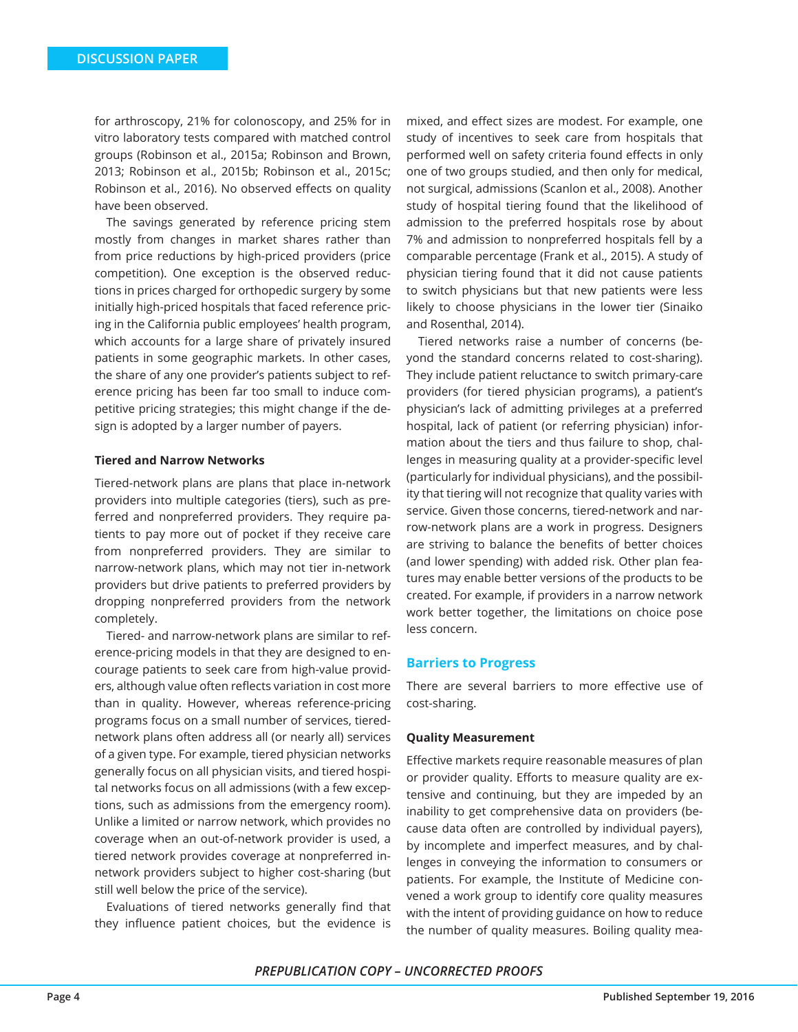for arthroscopy, 21% for colonoscopy, and 25% for in vitro laboratory tests compared with matched control groups (Robinson et al., 2015a; Robinson and Brown, 2013; Robinson et al., 2015b; Robinson et al., 2015c; Robinson et al., 2016). No observed effects on quality have been observed.

The savings generated by reference pricing stem mostly from changes in market shares rather than from price reductions by high-priced providers (price competition). One exception is the observed reductions in prices charged for orthopedic surgery by some initially high-priced hospitals that faced reference pricing in the California public employees' health program, which accounts for a large share of privately insured patients in some geographic markets. In other cases, the share of any one provider's patients subject to reference pricing has been far too small to induce competitive pricing strategies; this might change if the design is adopted by a larger number of payers.

#### **Tiered and Narrow Networks**

Tiered-network plans are plans that place in-network providers into multiple categories (tiers), such as preferred and nonpreferred providers. They require patients to pay more out of pocket if they receive care from nonpreferred providers. They are similar to narrow-network plans, which may not tier in-network providers but drive patients to preferred providers by dropping nonpreferred providers from the network completely.

Tiered- and narrow-network plans are similar to reference-pricing models in that they are designed to encourage patients to seek care from high-value providers, although value often reflects variation in cost more than in quality. However, whereas reference-pricing programs focus on a small number of services, tierednetwork plans often address all (or nearly all) services of a given type. For example, tiered physician networks generally focus on all physician visits, and tiered hospital networks focus on all admissions (with a few exceptions, such as admissions from the emergency room). Unlike a limited or narrow network, which provides no coverage when an out-of-network provider is used, a tiered network provides coverage at nonpreferred innetwork providers subject to higher cost-sharing (but still well below the price of the service).

Evaluations of tiered networks generally find that they influence patient choices, but the evidence is

mixed, and effect sizes are modest. For example, one study of incentives to seek care from hospitals that performed well on safety criteria found effects in only one of two groups studied, and then only for medical, not surgical, admissions (Scanlon et al., 2008). Another study of hospital tiering found that the likelihood of admission to the preferred hospitals rose by about 7% and admission to nonpreferred hospitals fell by a comparable percentage (Frank et al., 2015). A study of physician tiering found that it did not cause patients to switch physicians but that new patients were less likely to choose physicians in the lower tier (Sinaiko and Rosenthal, 2014).

Tiered networks raise a number of concerns (beyond the standard concerns related to cost-sharing). They include patient reluctance to switch primary-care providers (for tiered physician programs), a patient's physician's lack of admitting privileges at a preferred hospital, lack of patient (or referring physician) information about the tiers and thus failure to shop, challenges in measuring quality at a provider-specific level (particularly for individual physicians), and the possibility that tiering will not recognize that quality varies with service. Given those concerns, tiered-network and narrow-network plans are a work in progress. Designers are striving to balance the benefits of better choices (and lower spending) with added risk. Other plan features may enable better versions of the products to be created. For example, if providers in a narrow network work better together, the limitations on choice pose less concern.

#### **Barriers to Progress**

There are several barriers to more effective use of cost-sharing.

#### **Quality Measurement**

Effective markets require reasonable measures of plan or provider quality. Efforts to measure quality are extensive and continuing, but they are impeded by an inability to get comprehensive data on providers (because data often are controlled by individual payers), by incomplete and imperfect measures, and by challenges in conveying the information to consumers or patients. For example, the Institute of Medicine convened a work group to identify core quality measures with the intent of providing guidance on how to reduce the number of quality measures. Boiling quality mea-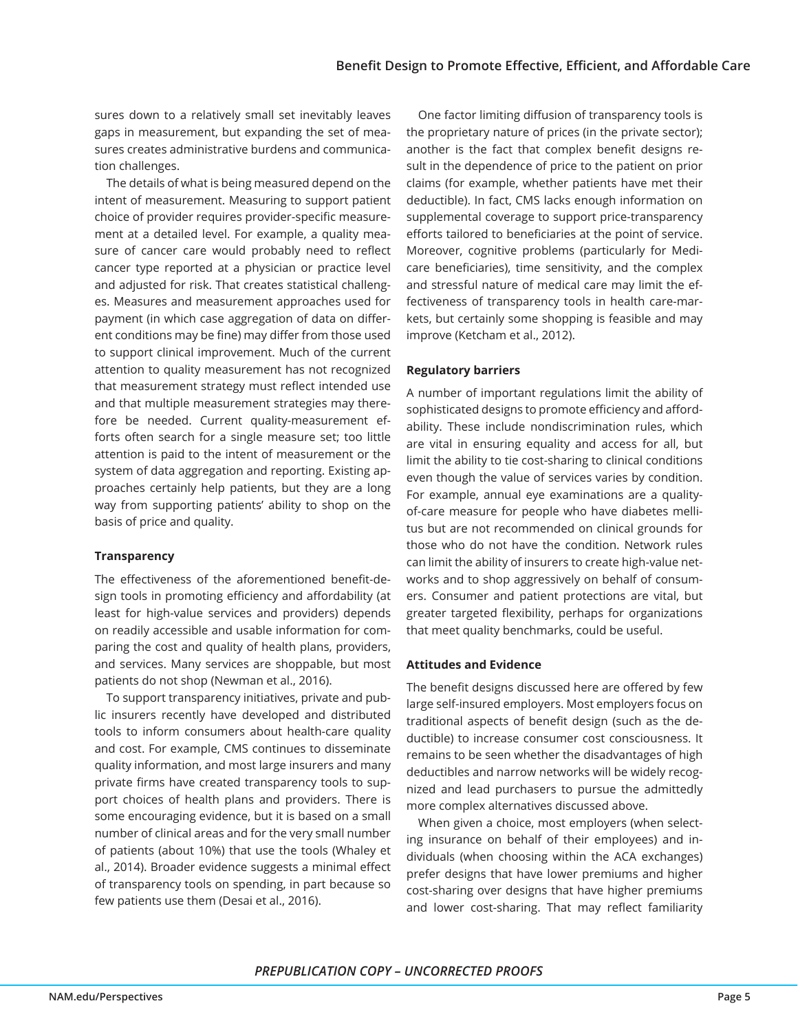sures down to a relatively small set inevitably leaves gaps in measurement, but expanding the set of measures creates administrative burdens and communication challenges.

The details of what is being measured depend on the intent of measurement. Measuring to support patient choice of provider requires provider-specific measurement at a detailed level. For example, a quality measure of cancer care would probably need to reflect cancer type reported at a physician or practice level and adjusted for risk. That creates statistical challenges. Measures and measurement approaches used for payment (in which case aggregation of data on different conditions may be fine) may differ from those used to support clinical improvement. Much of the current attention to quality measurement has not recognized that measurement strategy must reflect intended use and that multiple measurement strategies may therefore be needed. Current quality-measurement efforts often search for a single measure set; too little attention is paid to the intent of measurement or the system of data aggregation and reporting. Existing approaches certainly help patients, but they are a long way from supporting patients' ability to shop on the basis of price and quality.

# **Transparency**

The effectiveness of the aforementioned benefit-design tools in promoting efficiency and affordability (at least for high-value services and providers) depends on readily accessible and usable information for comparing the cost and quality of health plans, providers, and services. Many services are shoppable, but most patients do not shop (Newman et al., 2016).

To support transparency initiatives, private and public insurers recently have developed and distributed tools to inform consumers about health-care quality and cost. For example, CMS continues to disseminate quality information, and most large insurers and many private firms have created transparency tools to support choices of health plans and providers. There is some encouraging evidence, but it is based on a small number of clinical areas and for the very small number of patients (about 10%) that use the tools (Whaley et al., 2014). Broader evidence suggests a minimal effect of transparency tools on spending, in part because so few patients use them (Desai et al., 2016).

One factor limiting diffusion of transparency tools is the proprietary nature of prices (in the private sector); another is the fact that complex benefit designs result in the dependence of price to the patient on prior claims (for example, whether patients have met their deductible). In fact, CMS lacks enough information on supplemental coverage to support price-transparency efforts tailored to beneficiaries at the point of service. Moreover, cognitive problems (particularly for Medicare beneficiaries), time sensitivity, and the complex and stressful nature of medical care may limit the effectiveness of transparency tools in health care-markets, but certainly some shopping is feasible and may improve (Ketcham et al., 2012).

# **Regulatory barriers**

A number of important regulations limit the ability of sophisticated designs to promote efficiency and affordability. These include nondiscrimination rules, which are vital in ensuring equality and access for all, but limit the ability to tie cost-sharing to clinical conditions even though the value of services varies by condition. For example, annual eye examinations are a qualityof-care measure for people who have diabetes mellitus but are not recommended on clinical grounds for those who do not have the condition. Network rules can limit the ability of insurers to create high-value networks and to shop aggressively on behalf of consumers. Consumer and patient protections are vital, but greater targeted flexibility, perhaps for organizations that meet quality benchmarks, could be useful.

# **Attitudes and Evidence**

The benefit designs discussed here are offered by few large self-insured employers. Most employers focus on traditional aspects of benefit design (such as the deductible) to increase consumer cost consciousness. It remains to be seen whether the disadvantages of high deductibles and narrow networks will be widely recognized and lead purchasers to pursue the admittedly more complex alternatives discussed above.

When given a choice, most employers (when selecting insurance on behalf of their employees) and individuals (when choosing within the ACA exchanges) prefer designs that have lower premiums and higher cost-sharing over designs that have higher premiums and lower cost-sharing. That may reflect familiarity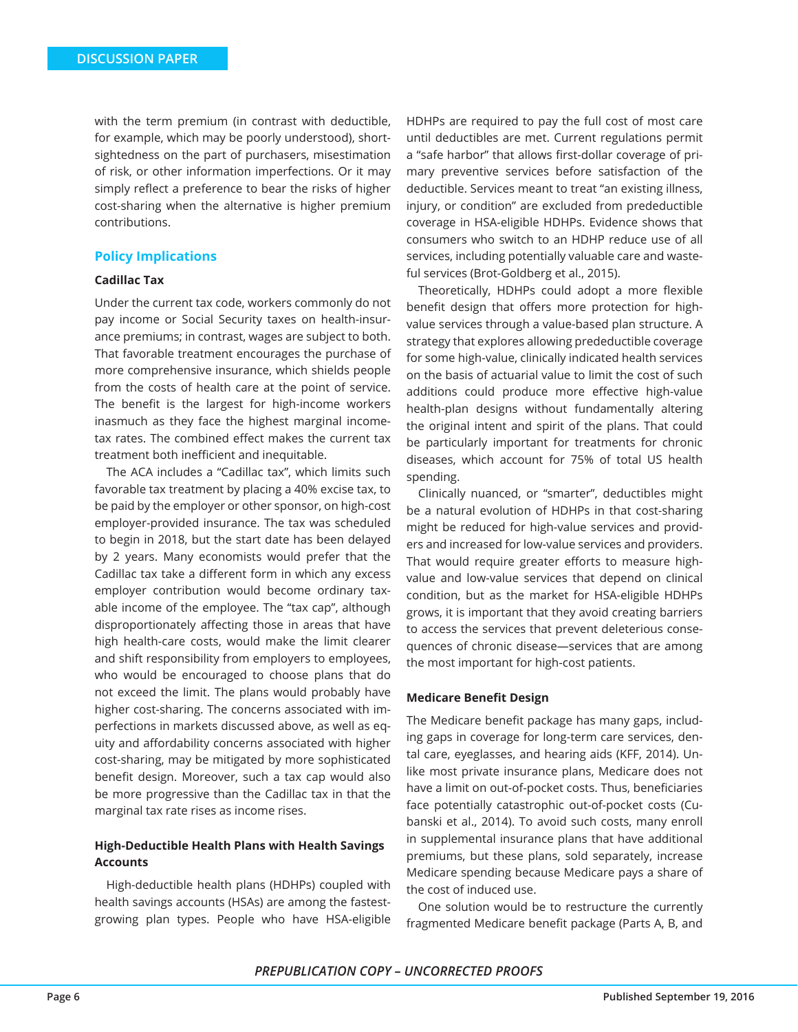with the term premium (in contrast with deductible, for example, which may be poorly understood), shortsightedness on the part of purchasers, misestimation of risk, or other information imperfections. Or it may simply reflect a preference to bear the risks of higher cost-sharing when the alternative is higher premium contributions.

#### **Policy Implications**

#### **Cadillac Tax**

Under the current tax code, workers commonly do not pay income or Social Security taxes on health-insurance premiums; in contrast, wages are subject to both. That favorable treatment encourages the purchase of more comprehensive insurance, which shields people from the costs of health care at the point of service. The benefit is the largest for high-income workers inasmuch as they face the highest marginal incometax rates. The combined effect makes the current tax treatment both inefficient and inequitable.

The ACA includes a "Cadillac tax", which limits such favorable tax treatment by placing a 40% excise tax, to be paid by the employer or other sponsor, on high-cost employer-provided insurance. The tax was scheduled to begin in 2018, but the start date has been delayed by 2 years. Many economists would prefer that the Cadillac tax take a different form in which any excess employer contribution would become ordinary taxable income of the employee. The "tax cap", although disproportionately affecting those in areas that have high health-care costs, would make the limit clearer and shift responsibility from employers to employees, who would be encouraged to choose plans that do not exceed the limit. The plans would probably have higher cost-sharing. The concerns associated with imperfections in markets discussed above, as well as equity and affordability concerns associated with higher cost-sharing, may be mitigated by more sophisticated benefit design. Moreover, such a tax cap would also be more progressive than the Cadillac tax in that the marginal tax rate rises as income rises.

# **High-Deductible Health Plans with Health Savings Accounts**

High-deductible health plans (HDHPs) coupled with health savings accounts (HSAs) are among the fastestgrowing plan types. People who have HSA-eligible

HDHPs are required to pay the full cost of most care until deductibles are met. Current regulations permit a "safe harbor" that allows first-dollar coverage of primary preventive services before satisfaction of the deductible. Services meant to treat "an existing illness, injury, or condition" are excluded from predeductible coverage in HSA-eligible HDHPs. Evidence shows that consumers who switch to an HDHP reduce use of all services, including potentially valuable care and wasteful services (Brot-Goldberg et al., 2015).

Theoretically, HDHPs could adopt a more flexible benefit design that offers more protection for highvalue services through a value-based plan structure. A strategy that explores allowing predeductible coverage for some high-value, clinically indicated health services on the basis of actuarial value to limit the cost of such additions could produce more effective high-value health-plan designs without fundamentally altering the original intent and spirit of the plans. That could be particularly important for treatments for chronic diseases, which account for 75% of total US health spending.

Clinically nuanced, or "smarter", deductibles might be a natural evolution of HDHPs in that cost-sharing might be reduced for high-value services and providers and increased for low-value services and providers. That would require greater efforts to measure highvalue and low-value services that depend on clinical condition, but as the market for HSA-eligible HDHPs grows, it is important that they avoid creating barriers to access the services that prevent deleterious consequences of chronic disease—services that are among the most important for high-cost patients.

#### **Medicare Benefit Design**

The Medicare benefit package has many gaps, including gaps in coverage for long-term care services, dental care, eyeglasses, and hearing aids (KFF, 2014). Unlike most private insurance plans, Medicare does not have a limit on out-of-pocket costs. Thus, beneficiaries face potentially catastrophic out-of-pocket costs (Cubanski et al., 2014). To avoid such costs, many enroll in supplemental insurance plans that have additional premiums, but these plans, sold separately, increase Medicare spending because Medicare pays a share of the cost of induced use.

One solution would be to restructure the currently fragmented Medicare benefit package (Parts A, B, and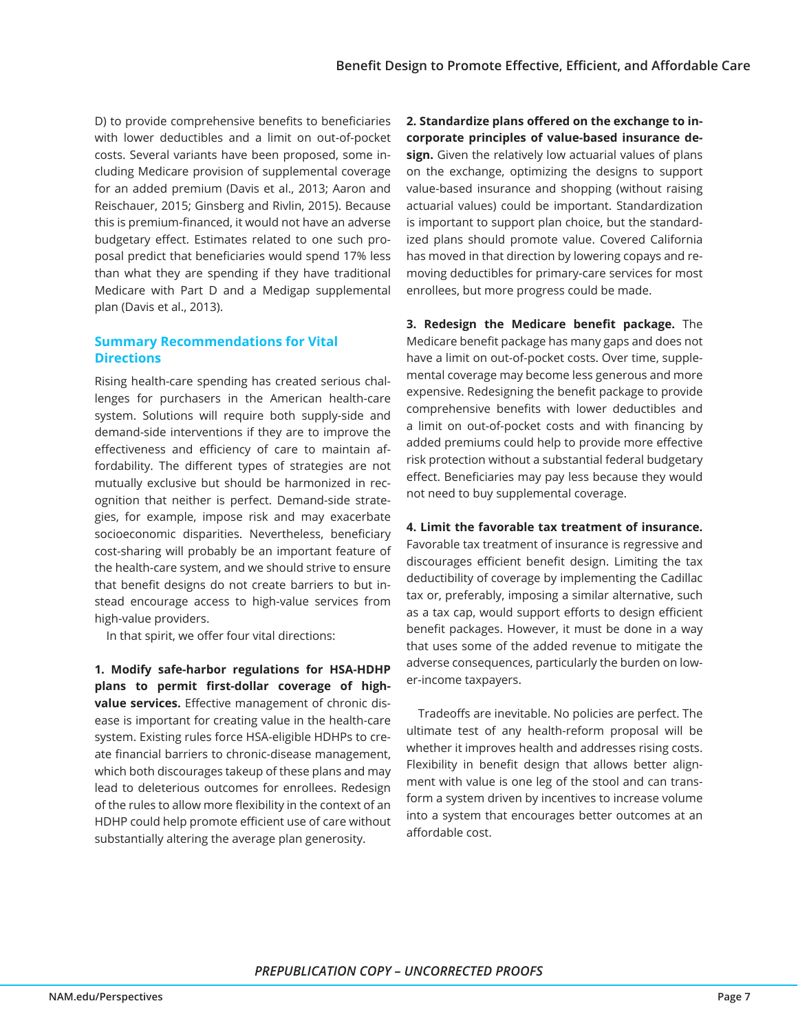D) to provide comprehensive benefits to beneficiaries with lower deductibles and a limit on out-of-pocket costs. Several variants have been proposed, some including Medicare provision of supplemental coverage for an added premium (Davis et al., 2013; Aaron and Reischauer, 2015; Ginsberg and Rivlin, 2015). Because this is premium-financed, it would not have an adverse budgetary effect. Estimates related to one such proposal predict that beneficiaries would spend 17% less than what they are spending if they have traditional Medicare with Part D and a Medigap supplemental plan (Davis et al., 2013).

# **Summary Recommendations for Vital Directions**

Rising health-care spending has created serious challenges for purchasers in the American health-care system. Solutions will require both supply-side and demand-side interventions if they are to improve the effectiveness and efficiency of care to maintain affordability. The different types of strategies are not mutually exclusive but should be harmonized in recognition that neither is perfect. Demand-side strategies, for example, impose risk and may exacerbate socioeconomic disparities. Nevertheless, beneficiary cost-sharing will probably be an important feature of the health-care system, and we should strive to ensure that benefit designs do not create barriers to but instead encourage access to high-value services from high-value providers.

In that spirit, we offer four vital directions:

**1. Modify safe-harbor regulations for HSA-HDHP plans to permit first-dollar coverage of highvalue services.** Effective management of chronic disease is important for creating value in the health-care system. Existing rules force HSA-eligible HDHPs to create financial barriers to chronic-disease management, which both discourages takeup of these plans and may lead to deleterious outcomes for enrollees. Redesign of the rules to allow more flexibility in the context of an HDHP could help promote efficient use of care without substantially altering the average plan generosity.

**2. Standardize plans offered on the exchange to incorporate principles of value-based insurance design.** Given the relatively low actuarial values of plans on the exchange, optimizing the designs to support value-based insurance and shopping (without raising actuarial values) could be important. Standardization is important to support plan choice, but the standardized plans should promote value. Covered California has moved in that direction by lowering copays and removing deductibles for primary-care services for most enrollees, but more progress could be made.

**3. Redesign the Medicare benefit package.** The Medicare benefit package has many gaps and does not have a limit on out-of-pocket costs. Over time, supplemental coverage may become less generous and more expensive. Redesigning the benefit package to provide comprehensive benefits with lower deductibles and a limit on out-of-pocket costs and with financing by added premiums could help to provide more effective risk protection without a substantial federal budgetary effect. Beneficiaries may pay less because they would not need to buy supplemental coverage.

#### **4. Limit the favorable tax treatment of insurance.**

Favorable tax treatment of insurance is regressive and discourages efficient benefit design. Limiting the tax deductibility of coverage by implementing the Cadillac tax or, preferably, imposing a similar alternative, such as a tax cap, would support efforts to design efficient benefit packages. However, it must be done in a way that uses some of the added revenue to mitigate the adverse consequences, particularly the burden on lower-income taxpayers.

Tradeoffs are inevitable. No policies are perfect. The ultimate test of any health-reform proposal will be whether it improves health and addresses rising costs. Flexibility in benefit design that allows better alignment with value is one leg of the stool and can transform a system driven by incentives to increase volume into a system that encourages better outcomes at an affordable cost.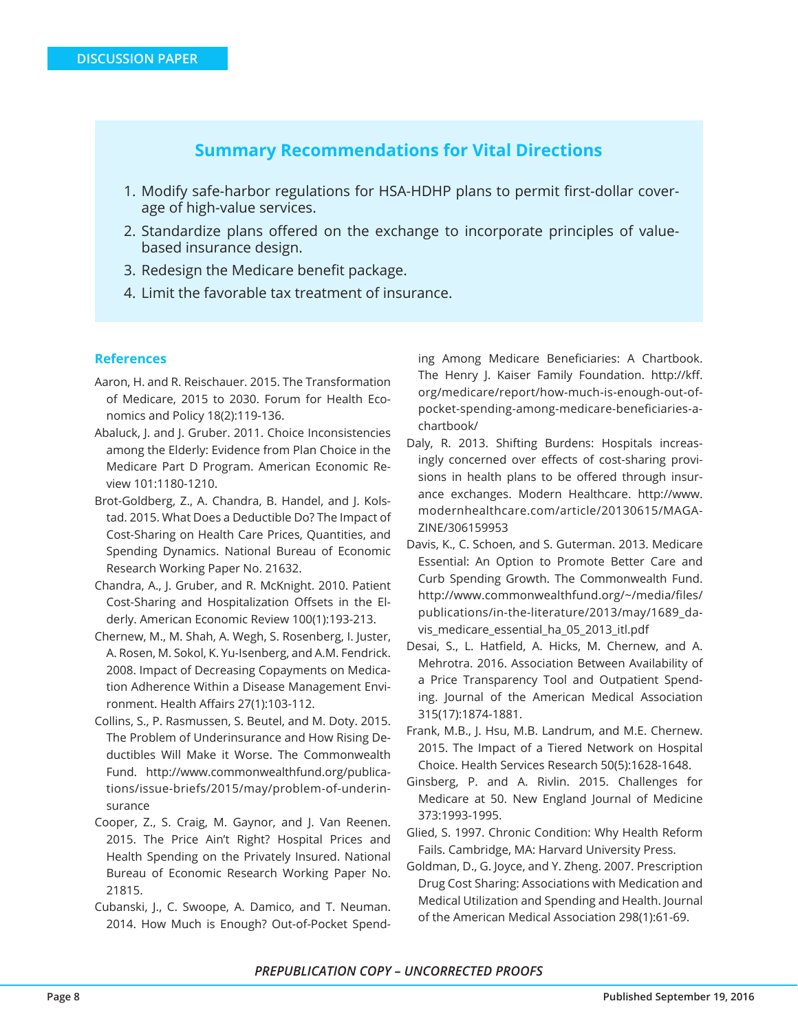# **Summary Recommendations for Vital Directions**

- 1. Modify safe-harbor regulations for HSA-HDHP plans to permit first-dollar coverage of high-value services.
- 2. Standardize plans offered on the exchange to incorporate principles of valuebased insurance design.
- 3. Redesign the Medicare benefit package.
- 4. Limit the favorable tax treatment of insurance.

## **References**

- Aaron, H. and R. Reischauer. 2015. The Transformation of Medicare, 2015 to 2030. Forum for Health Economics and Policy 18(2):119-136.
- Abaluck, J. and J. Gruber. 2011. Choice Inconsistencies among the Elderly: Evidence from Plan Choice in the Medicare Part D Program. American Economic Review 101:1180-1210.
- Brot-Goldberg, Z., A. Chandra, B. Handel, and J. Kolstad. 2015. What Does a Deductible Do? The Impact of Cost-Sharing on Health Care Prices, Quantities, and Spending Dynamics. National Bureau of Economic Research Working Paper No. 21632.
- Chandra, A., J. Gruber, and R. McKnight. 2010. Patient Cost-Sharing and Hospitalization Offsets in the Elderly. American Economic Review 100(1):193-213.
- Chernew, M., M. Shah, A. Wegh, S. Rosenberg, I. Juster, A. Rosen, M. Sokol, K. Yu-Isenberg, and A.M. Fendrick. 2008. Impact of Decreasing Copayments on Medication Adherence Within a Disease Management Environment. Health Affairs 27(1):103-112.
- Collins, S., P. Rasmussen, S. Beutel, and M. Doty. 2015. The Problem of Underinsurance and How Rising Deductibles Will Make it Worse. The Commonwealth Fund. http://www.commonwealthfund.org/publications/issue-briefs/2015/may/problem-of-underinsurance
- Cooper, Z., S. Craig, M. Gaynor, and J. Van Reenen. 2015. The Price Ain't Right? Hospital Prices and Health Spending on the Privately Insured. National Bureau of Economic Research Working Paper No. 21815.
- Cubanski, J., C. Swoope, A. Damico, and T. Neuman. 2014. How Much is Enough? Out-of-Pocket Spend-

ing Among Medicare Beneficiaries: A Chartbook. The Henry J. Kaiser Family Foundation. http://kff. org/medicare/report/how-much-is-enough-out-ofpocket-spending-among-medicare-beneficiaries-achartbook/

- Daly, R. 2013. Shifting Burdens: Hospitals increasingly concerned over effects of cost-sharing provisions in health plans to be offered through insurance exchanges. Modern Healthcare. http://www. modernhealthcare.com/article/20130615/MAGA-ZINE/306159953
- Davis, K., C. Schoen, and S. Guterman. 2013. Medicare Essential: An Option to Promote Better Care and Curb Spending Growth. The Commonwealth Fund. http://www.commonwealthfund.org/~/media/files/ publications/in-the-literature/2013/may/1689\_davis\_medicare\_essential\_ha\_05\_2013\_itl.pdf
- Desai, S., L. Hatfield, A. Hicks, M. Chernew, and A. Mehrotra. 2016. Association Between Availability of a Price Transparency Tool and Outpatient Spending. Journal of the American Medical Association 315(17):1874-1881.
- Frank, M.B., J. Hsu, M.B. Landrum, and M.E. Chernew. 2015. The Impact of a Tiered Network on Hospital Choice. Health Services Research 50(5):1628-1648.
- Ginsberg, P. and A. Rivlin. 2015. Challenges for Medicare at 50. New England Journal of Medicine 373:1993-1995.
- Glied, S. 1997. Chronic Condition: Why Health Reform Fails. Cambridge, MA: Harvard University Press.
- Goldman, D., G. Joyce, and Y. Zheng. 2007. Prescription Drug Cost Sharing: Associations with Medication and Medical Utilization and Spending and Health. Journal of the American Medical Association 298(1):61-69.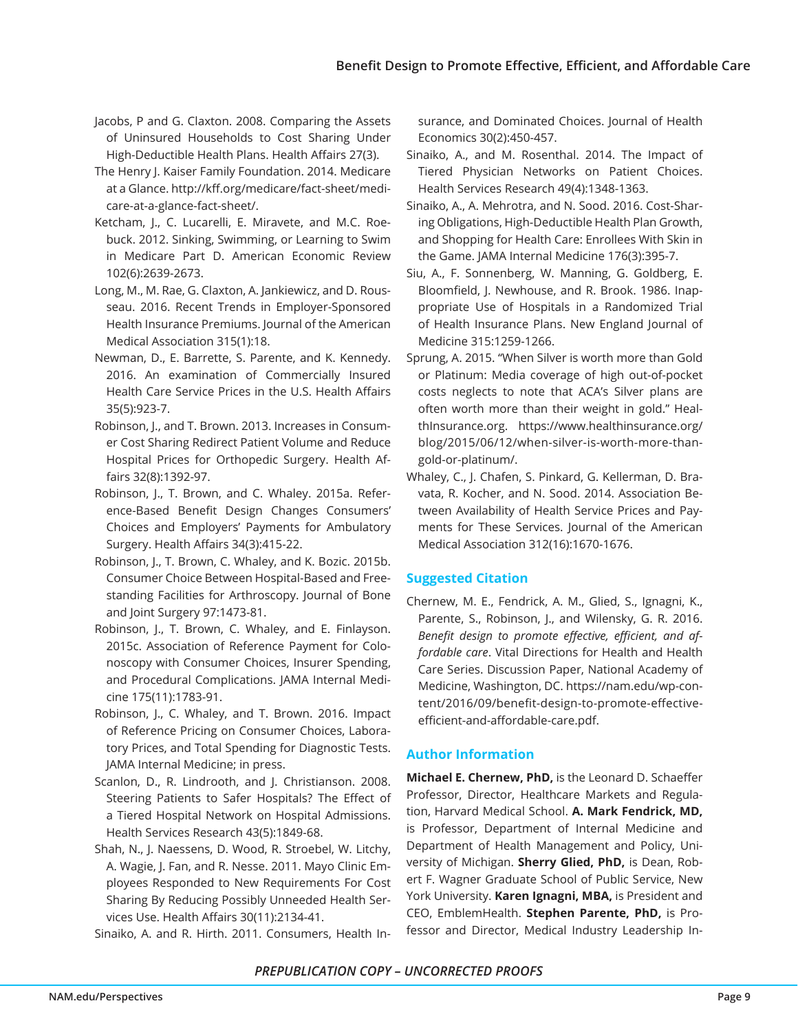- Jacobs, P and G. Claxton. 2008. Comparing the Assets of Uninsured Households to Cost Sharing Under High-Deductible Health Plans. Health Affairs 27(3).
- The Henry J. Kaiser Family Foundation. 2014. Medicare at a Glance. http://kff.org/medicare/fact-sheet/medicare-at-a-glance-fact-sheet/.
- Ketcham, J., C. Lucarelli, E. Miravete, and M.C. Roebuck. 2012. Sinking, Swimming, or Learning to Swim in Medicare Part D. American Economic Review 102(6):2639-2673.
- Long, M., M. Rae, G. Claxton, A. Jankiewicz, and D. Rousseau. 2016. Recent Trends in Employer-Sponsored Health Insurance Premiums. Journal of the American Medical Association 315(1):18.
- Newman, D., E. Barrette, S. Parente, and K. Kennedy. 2016. An examination of Commercially Insured Health Care Service Prices in the U.S. Health Affairs 35(5):923-7.
- Robinson, J., and T. Brown. 2013. Increases in Consumer Cost Sharing Redirect Patient Volume and Reduce Hospital Prices for Orthopedic Surgery. Health Affairs 32(8):1392-97.
- Robinson, J., T. Brown, and C. Whaley. 2015a. Reference-Based Benefit Design Changes Consumers' Choices and Employers' Payments for Ambulatory Surgery. Health Affairs 34(3):415-22.
- Robinson, J., T. Brown, C. Whaley, and K. Bozic. 2015b. Consumer Choice Between Hospital-Based and Freestanding Facilities for Arthroscopy. Journal of Bone and Joint Surgery 97:1473-81.
- Robinson, J., T. Brown, C. Whaley, and E. Finlayson. 2015c. Association of Reference Payment for Colonoscopy with Consumer Choices, Insurer Spending, and Procedural Complications. JAMA Internal Medicine 175(11):1783-91.
- Robinson, J., C. Whaley, and T. Brown. 2016. Impact of Reference Pricing on Consumer Choices, Laboratory Prices, and Total Spending for Diagnostic Tests. JAMA Internal Medicine; in press.
- Scanlon, D., R. Lindrooth, and J. Christianson. 2008. Steering Patients to Safer Hospitals? The Effect of a Tiered Hospital Network on Hospital Admissions. Health Services Research 43(5):1849-68.
- Shah, N., J. Naessens, D. Wood, R. Stroebel, W. Litchy, A. Wagie, J. Fan, and R. Nesse. 2011. Mayo Clinic Employees Responded to New Requirements For Cost Sharing By Reducing Possibly Unneeded Health Services Use. Health Affairs 30(11):2134-41.

Sinaiko, A. and R. Hirth. 2011. Consumers, Health In-

surance, and Dominated Choices. Journal of Health Economics 30(2):450-457.

- Sinaiko, A., and M. Rosenthal. 2014. The Impact of Tiered Physician Networks on Patient Choices. Health Services Research 49(4):1348-1363.
- Sinaiko, A., A. Mehrotra, and N. Sood. 2016. Cost-Sharing Obligations, High-Deductible Health Plan Growth, and Shopping for Health Care: Enrollees With Skin in the Game. JAMA Internal Medicine 176(3):395-7.
- Siu, A., F. Sonnenberg, W. Manning, G. Goldberg, E. Bloomfield, J. Newhouse, and R. Brook. 1986. Inappropriate Use of Hospitals in a Randomized Trial of Health Insurance Plans. New England Journal of Medicine 315:1259-1266.
- Sprung, A. 2015. "When Silver is worth more than Gold or Platinum: Media coverage of high out-of-pocket costs neglects to note that ACA's Silver plans are often worth more than their weight in gold." HealthInsurance.org. https://www.healthinsurance.org/ blog/2015/06/12/when-silver-is-worth-more-thangold-or-platinum/.
- Whaley, C., J. Chafen, S. Pinkard, G. Kellerman, D. Bravata, R. Kocher, and N. Sood. 2014. Association Between Availability of Health Service Prices and Payments for These Services. Journal of the American Medical Association 312(16):1670-1676.

# **Suggested Citation**

Chernew, M. E., Fendrick, A. M., Glied, S., Ignagni, K., Parente, S., Robinson, J., and Wilensky, G. R. 2016. *Benefit design to promote effective, efficient, and affordable care*. Vital Directions for Health and Health Care Series. Discussion Paper, National Academy of Medicine, Washington, DC. https://nam.edu/wp-content/2016/09/benefit-design-to-promote-effectiveefficient-and-affordable-care.pdf.

# **Author Information**

**Michael E. Chernew, PhD,** is the Leonard D. Schaeffer Professor, Director, Healthcare Markets and Regulation, Harvard Medical School. **A. Mark Fendrick, MD,**  is Professor, Department of Internal Medicine and Department of Health Management and Policy, University of Michigan. **Sherry Glied, PhD,** is Dean, Robert F. Wagner Graduate School of Public Service, New York University. **Karen Ignagni, MBA,** is President and CEO, EmblemHealth. **Stephen Parente, PhD,** is Professor and Director, Medical Industry Leadership In-